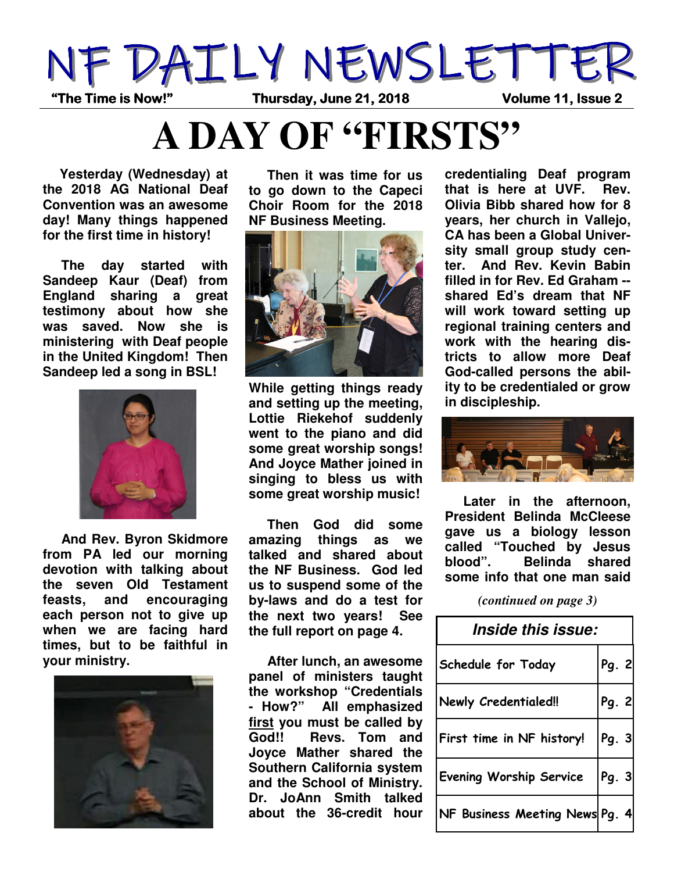

**A DAY OF "FIRSTS"**

 **Yesterday (Wednesday) at the 2018 AG National Deaf Convention was an awesome day! Many things happened for the first time in history!** 

 **The day started with Sandeep Kaur (Deaf) from England sharing a great testimony about how she was saved. Now she is ministering with Deaf people in the United Kingdom! Then Sandeep led a song in BSL!** 



 **And Rev. Byron Skidmore from PA led our morning devotion with talking about the seven Old Testament feasts, and encouraging each person not to give up when we are facing hard times, but to be faithful in your ministry.** 



 **Then it was time for us to go down to the Capeci Choir Room for the 2018 NF Business Meeting.** 



**While getting things ready and setting up the meeting, Lottie Riekehof suddenly went to the piano and did some great worship songs! And Joyce Mather joined in singing to bless us with some great worship music!** 

 **Then God did some amazing things as we talked and shared about the NF Business. God led us to suspend some of the by-laws and do a test for the next two years! See the full report on page 4.** 

 **After lunch, an awesome panel of ministers taught the workshop "Credentials - How?" All emphasized first you must be called by God!! Revs. Tom and Joyce Mather shared the Southern California system and the School of Ministry. Dr. JoAnn Smith talked about the 36-credit hour** 

**credentialing Deaf program that is here at UVF. Rev. Olivia Bibb shared how for 8 years, her church in Vallejo, CA has been a Global University small group study center. And Rev. Kevin Babin filled in for Rev. Ed Graham - shared Ed's dream that NF will work toward setting up regional training centers and work with the hearing districts to allow more Deaf God-called persons the ability to be credentialed or grow in discipleship.** 



 **Later in the afternoon, President Belinda McCleese gave us a biology lesson called "Touched by Jesus blood". Belinda shared some info that one man said** 

*(continued on page 3)* 

| <i><b>Inside this issue:</b></i> |       |  |
|----------------------------------|-------|--|
| Schedule for Today               | Pg. 2 |  |
| <b>Newly Credentialed!!</b>      | Pg. 2 |  |
| First time in NF history!        | Pg. 3 |  |
| <b>Evening Worship Service</b>   | Pg. 3 |  |
| NF Business Meeting News Pg. 4   |       |  |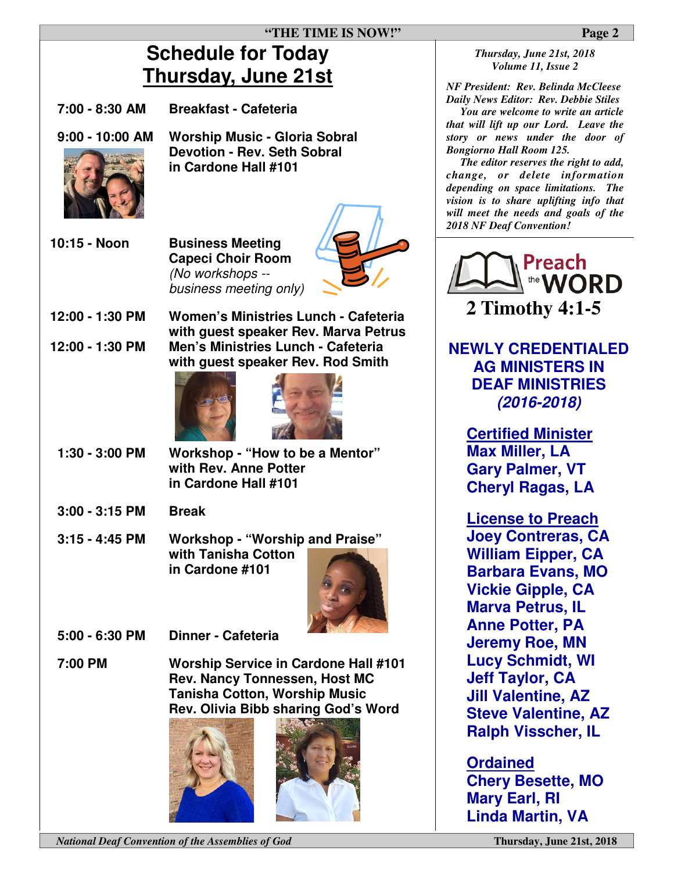## **Schedule for Today Thursday, June 21st**

| Thursday, June 21st                |                                                                                                                                                                    | $N$ $F$                                                |
|------------------------------------|--------------------------------------------------------------------------------------------------------------------------------------------------------------------|--------------------------------------------------------|
| 7:00 - 8:30 AM                     | <b>Breakfast - Cafeteria</b>                                                                                                                                       | Da                                                     |
| $9:00 - 10:00$ AM                  | <b>Worship Music - Gloria Sobral</b><br><b>Devotion - Rev. Seth Sobral</b><br>in Cardone Hall #101                                                                 | tha<br>stol<br>Boi<br>c h<br>dep<br>visi<br>wil<br>201 |
| 10:15 - Noon                       | <b>Business Meeting</b><br><b>Capeci Choir Room</b><br>(No workshops --<br>business meeting only)                                                                  |                                                        |
| 12:00 - 1:30 PM<br>12:00 - 1:30 PM | Women's Ministries Lunch - Cafeteria<br>with guest speaker Rev. Marva Petrus<br>Men's Ministries Lunch - Cafeteria                                                 | N                                                      |
|                                    | with guest speaker Rev. Rod Smith                                                                                                                                  |                                                        |
| 1:30 - 3:00 PM                     | Workshop - "How to be a Mentor"<br>with Rev. Anne Potter<br>in Cardone Hall #101                                                                                   |                                                        |
| $3:00 - 3:15$ PM                   | <b>Break</b>                                                                                                                                                       |                                                        |
| $3:15 - 4:45$ PM                   | <b>Workshop - "Worship and Praise"</b><br>with Tanisha Cotton<br>in Cardone #101                                                                                   |                                                        |
| 5:00 - 6:30 PM                     | <b>Dinner - Cafeteria</b>                                                                                                                                          |                                                        |
| 7:00 PM                            | <b>Worship Service in Cardone Hall #101</b><br><b>Rev. Nancy Tonnessen, Host MC</b><br><b>Tanisha Cotton, Worship Music</b><br>Rev. Olivia Bibb sharing God's Word |                                                        |

*National Deaf Convention of the Assemblies of God* **Thursday, June 21st, 2018** 

## *Thursday, June 21st, 2018 Volume 11, Issue 2*

*NF President: Rev. Belinda McCleese Daily News Editor: Rev. Debbie Stiles* 

 *You are welcome to write an article that will lift up our Lord. Leave the story or news under the door of Bongiorno Hall Room 125.*

 *The editor reserves the right to add, change, or delete information depending on space limitations. The vision is to share uplifting info that will meet the needs and goals of the 2018 NF Deaf Convention!* 



**NEWLY CREDENTIALED AG MINISTERS IN DEAF MINISTRIES**  *(2016-2018)* 

**Certified Minister Max Miller, LA Gary Palmer, VT Cheryl Ragas, LA** 

**License to Preach Joey Contreras, CA William Eipper, CA Barbara Evans, MO Vickie Gipple, CA Marva Petrus, IL Anne Potter, PA Jeremy Roe, MN Lucy Schmidt, WI Jeff Taylor, CA Jill Valentine, AZ Steve Valentine, AZ Ralph Visscher, IL** 

**Ordained Chery Besette, MO Mary Earl, RI Linda Martin, VA**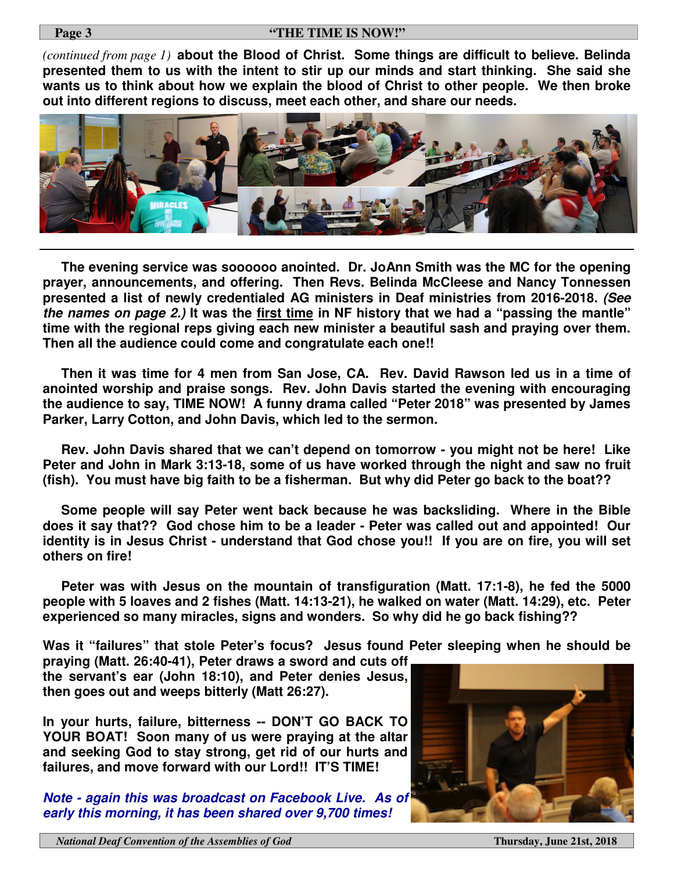*(continued from page 1)* **about the Blood of Christ. Some things are difficult to believe. Belinda presented them to us with the intent to stir up our minds and start thinking. She said she wants us to think about how we explain the blood of Christ to other people. We then broke out into different regions to discuss, meet each other, and share our needs.** 



 **The evening service was soooooo anointed. Dr. JoAnn Smith was the MC for the opening prayer, announcements, and offering. Then Revs. Belinda McCleese and Nancy Tonnessen presented a list of newly credentialed AG ministers in Deaf ministries from 2016-2018.** *(See the names on page 2.)* **It was the first time in NF history that we had a "passing the mantle" time with the regional reps giving each new minister a beautiful sash and praying over them. Then all the audience could come and congratulate each one!!** 

 **Then it was time for 4 men from San Jose, CA. Rev. David Rawson led us in a time of anointed worship and praise songs. Rev. John Davis started the evening with encouraging the audience to say, TIME NOW! A funny drama called "Peter 2018" was presented by James Parker, Larry Cotton, and John Davis, which led to the sermon.** 

 **Rev. John Davis shared that we can't depend on tomorrow - you might not be here! Like Peter and John in Mark 3:13-18, some of us have worked through the night and saw no fruit (fish). You must have big faith to be a fisherman. But why did Peter go back to the boat??** 

 **Some people will say Peter went back because he was backsliding. Where in the Bible does it say that?? God chose him to be a leader - Peter was called out and appointed! Our identity is in Jesus Christ - understand that God chose you!! If you are on fire, you will set others on fire!** 

 **Peter was with Jesus on the mountain of transfiguration (Matt. 17:1-8), he fed the 5000 people with 5 loaves and 2 fishes (Matt. 14:13-21), he walked on water (Matt. 14:29), etc. Peter experienced so many miracles, signs and wonders. So why did he go back fishing??** 

**Was it "failures" that stole Peter's focus? Jesus found Peter sleeping when he should be** 

**praying (Matt. 26:40-41), Peter draws a sword and cuts off the servant's ear (John 18:10), and Peter denies Jesus, then goes out and weeps bitterly (Matt 26:27).** 

**In your hurts, failure, bitterness -- DON'T GO BACK TO YOUR BOAT! Soon many of us were praying at the altar and seeking God to stay strong, get rid of our hurts and failures, and move forward with our Lord!! IT'S TIME!** 

*Note - again this was broadcast on Facebook Live. As of early this morning, it has been shared over 9,700 times!*